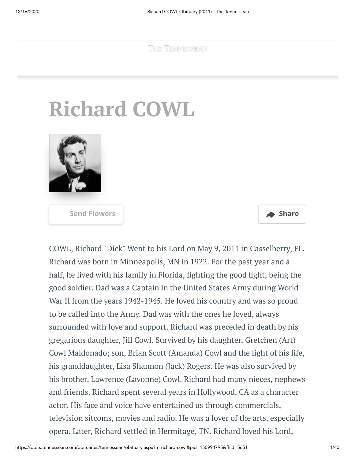**THE TENNESSEAN** 

## **Richard COWL**



**[Send Flowers](https://sympathy.legacy.com/en-us/funeral-flowers/name/richard-cowl-funeral-flowers/p150994795/?affiliateId=2294&pm=205) Share** 

COWL, Richard "Dick" Went to his Lord on May 9, 2011 in Casselberry, FL. Richard was born in Minneapolis, MN in 1922. For the past year and a half, he lived with his family in Florida, fighting the good fight, being the good soldier. Dad was a Captain in the United States Army during World War II from the years 1942-1945. He loved his country and was so proud to be called into the Army. Dad was with the ones he loved, always surrounded with love and support. Richard was preceded in death by his gregarious daughter, Jill Cowl. Survived by his daughter, Gretchen (Art) Cowl Maldonado; son, Brian Scott (Amanda) Cowl and the light of his life, his granddaughter, Lisa Shannon (Jack) Rogers. He was also survived by his brother, Lawrence (Lavonne) Cowl. Richard had many nieces, nephews and friends. Richard spent several years in Hollywood, CA as a character actor. His face and voice have entertained us through commercials, television sitcoms, movies and radio. He was a lover of the arts, especially opera. Later, Richard settled in Hermitage, TN. Richard loved his Lord,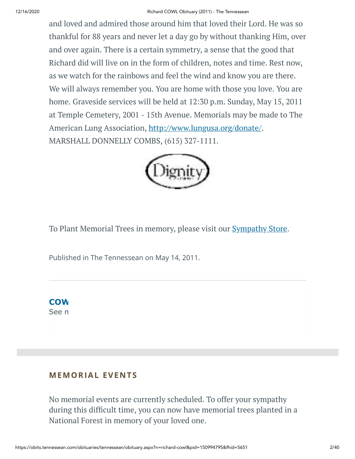## 12/16/2020 Richard COWL Obituary (2011) - The Tennessean

and loved and admired those around him that loved their Lord. He was so thankful for 88 years and never let a day go by without thanking Him, over and over again. There is a certain symmetry, a sense that the good that Richard did will live on in the form of children, notes and time. Rest now, as we watch for the rainbows and feel the wind and know you are there. We will always remember you. You are home with those you love. You are home. Graveside services will be held at 12:30 p.m. Sunday, May 15, 2011 at Temple Cemetery, 2001 - 15th Avenue. Memorials may be made to The American Lung Association, <http://www.lungusa.org/donate/>. MARSHALL DONNELLY COMBS, (615) 327-1111.



To Plant Memorial Trees in memory, please visit our **[Sympathy](https://sympathy.legacy.com/en-us/funeral-flowers/name/richard-cowl-funeral-flowers/p150994795/?affiliateId=2294&pm=240) Store**.

Published in The Tennessean on May 14, 2011.



See n

## **MEMORIAL EVENTS**

No memorial events are currently scheduled. To offer your sympathy during this difficult time, you can now have memorial trees planted in a National Forest in memory of your loved one.